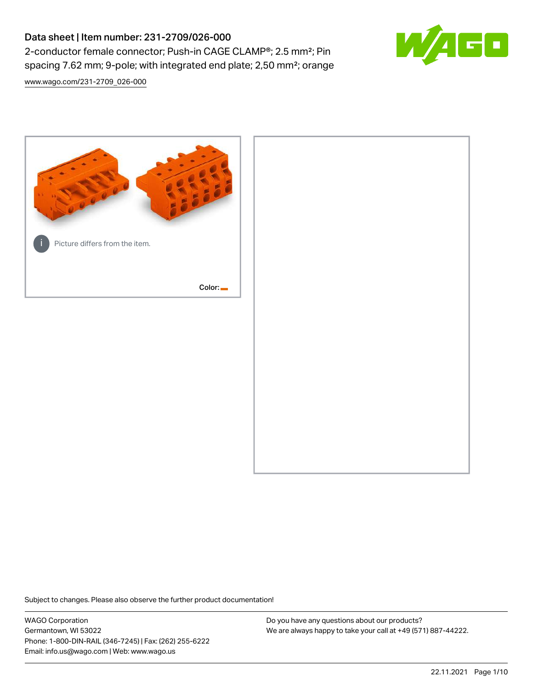# Data sheet | Item number: 231-2709/026-000 2-conductor female connector; Push-in CAGE CLAMP®; 2.5 mm²; Pin spacing 7.62 mm; 9-pole; with integrated end plate; 2,50 mm²; orange



[www.wago.com/231-2709\\_026-000](http://www.wago.com/231-2709_026-000)



Subject to changes. Please also observe the further product documentation!

WAGO Corporation Germantown, WI 53022 Phone: 1-800-DIN-RAIL (346-7245) | Fax: (262) 255-6222 Email: info.us@wago.com | Web: www.wago.us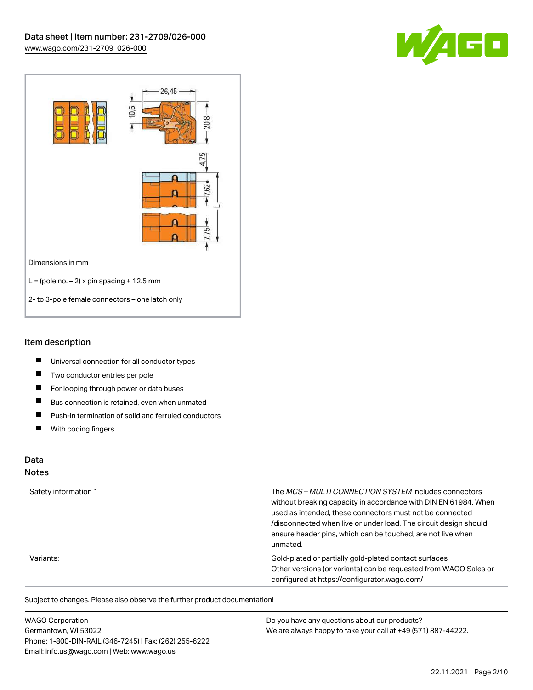



#### Item description

- $\blacksquare$ Universal connection for all conductor types
- $\blacksquare$ Two conductor entries per pole
- $\blacksquare$ For looping through power or data buses
- $\blacksquare$ Bus connection is retained, even when unmated
- $\blacksquare$ Push-in termination of solid and ferruled conductors
- $\blacksquare$ With coding fingers

# Data

#### Notes

| Safety information 1 | The MCS-MULTI CONNECTION SYSTEM includes connectors<br>without breaking capacity in accordance with DIN EN 61984. When<br>used as intended, these connectors must not be connected<br>/disconnected when live or under load. The circuit design should<br>ensure header pins, which can be touched, are not live when<br>unmated. |
|----------------------|-----------------------------------------------------------------------------------------------------------------------------------------------------------------------------------------------------------------------------------------------------------------------------------------------------------------------------------|
| Variants:            | Gold-plated or partially gold-plated contact surfaces<br>Other versions (or variants) can be requested from WAGO Sales or<br>configured at https://configurator.wago.com/                                                                                                                                                         |

Subject to changes. Please also observe the further product documentation!

| <b>WAGO Corporation</b>                                | Do you have any questions about our products?                 |
|--------------------------------------------------------|---------------------------------------------------------------|
| Germantown, WI 53022                                   | We are always happy to take your call at +49 (571) 887-44222. |
| Phone: 1-800-DIN-RAIL (346-7245)   Fax: (262) 255-6222 |                                                               |
| Email: info.us@wago.com   Web: www.wago.us             |                                                               |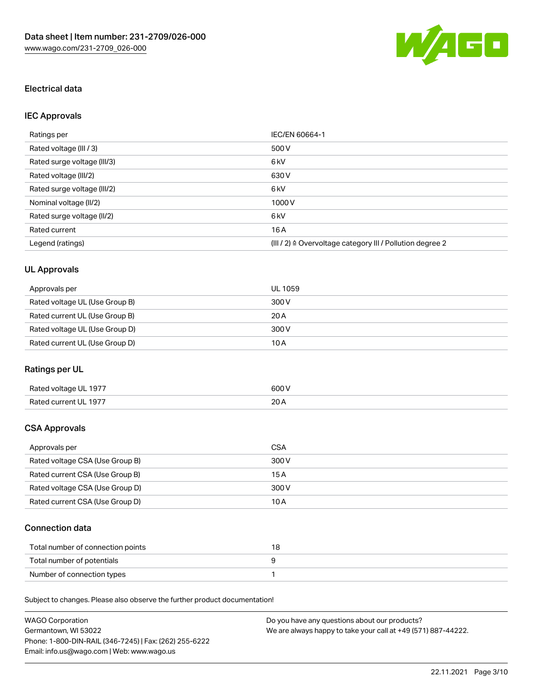

# Electrical data

# IEC Approvals

| Ratings per                 | IEC/EN 60664-1                                                        |
|-----------------------------|-----------------------------------------------------------------------|
| Rated voltage (III / 3)     | 500 V                                                                 |
| Rated surge voltage (III/3) | 6 kV                                                                  |
| Rated voltage (III/2)       | 630 V                                                                 |
| Rated surge voltage (III/2) | 6 <sub>k</sub> V                                                      |
| Nominal voltage (II/2)      | 1000V                                                                 |
| Rated surge voltage (II/2)  | 6 <sub>k</sub> V                                                      |
| Rated current               | 16A                                                                   |
| Legend (ratings)            | $(III / 2)$ $\triangle$ Overvoltage category III / Pollution degree 2 |

# UL Approvals

| Approvals per                  | UL 1059 |
|--------------------------------|---------|
| Rated voltage UL (Use Group B) | 300 V   |
| Rated current UL (Use Group B) | 20A     |
| Rated voltage UL (Use Group D) | 300 V   |
| Rated current UL (Use Group D) | 10 A    |

# Ratings per UL

| Rated voltage UL 1977 | 600 V       |
|-----------------------|-------------|
| Rated current UL 1977 | 20h<br>20 A |

# CSA Approvals

| Approvals per                   | CSA   |
|---------------------------------|-------|
| Rated voltage CSA (Use Group B) | 300 V |
| Rated current CSA (Use Group B) | 15 A  |
| Rated voltage CSA (Use Group D) | 300 V |
| Rated current CSA (Use Group D) | 10 A  |

# Connection data

| Total number of connection points |  |
|-----------------------------------|--|
| Total number of potentials        |  |
| Number of connection types        |  |

Subject to changes. Please also observe the further product documentation!

| <b>WAGO Corporation</b>                                | Do you have any questions about our products?                 |
|--------------------------------------------------------|---------------------------------------------------------------|
| Germantown, WI 53022                                   | We are always happy to take your call at +49 (571) 887-44222. |
| Phone: 1-800-DIN-RAIL (346-7245)   Fax: (262) 255-6222 |                                                               |
| Email: info.us@wago.com   Web: www.wago.us             |                                                               |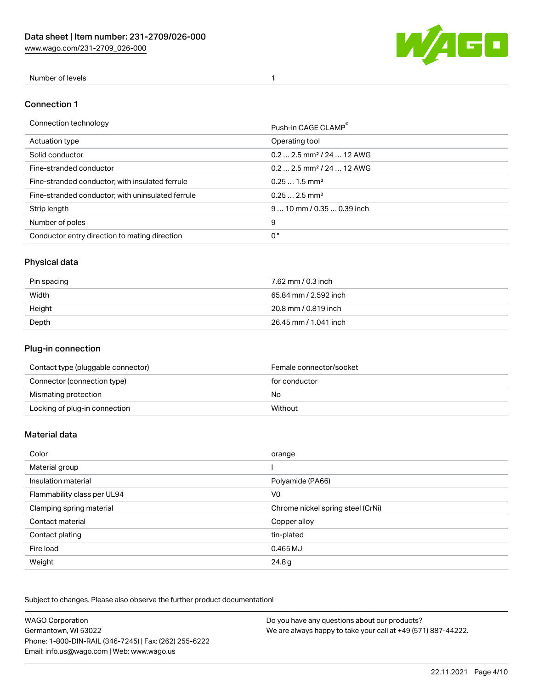[www.wago.com/231-2709\\_026-000](http://www.wago.com/231-2709_026-000)



#### Number of levels 1

#### Connection 1

| Connection technology                             | Push-in CAGE CLAMP®                   |
|---------------------------------------------------|---------------------------------------|
| Actuation type                                    | Operating tool                        |
| Solid conductor                                   | $0.22.5$ mm <sup>2</sup> / 24  12 AWG |
| Fine-stranded conductor                           | $0.22.5$ mm <sup>2</sup> / 24  12 AWG |
| Fine-stranded conductor; with insulated ferrule   | $0.251.5$ mm <sup>2</sup>             |
| Fine-stranded conductor; with uninsulated ferrule | $0.252.5$ mm <sup>2</sup>             |
| Strip length                                      | $910$ mm $/0.350.39$ inch             |
| Number of poles                                   | 9                                     |
| Conductor entry direction to mating direction     | 0°                                    |

# Physical data

| Pin spacing | 7.62 mm / 0.3 inch    |
|-------------|-----------------------|
| Width       | 65.84 mm / 2.592 inch |
| Height      | 20.8 mm / 0.819 inch  |
| Depth       | 26.45 mm / 1.041 inch |

### Plug-in connection

| Contact type (pluggable connector) | Female connector/socket |
|------------------------------------|-------------------------|
| Connector (connection type)        | for conductor           |
| Mismating protection               | No                      |
| Locking of plug-in connection      | Without                 |

#### Material data

| Color                       | orange                            |
|-----------------------------|-----------------------------------|
| Material group              |                                   |
| Insulation material         | Polyamide (PA66)                  |
| Flammability class per UL94 | V <sub>0</sub>                    |
| Clamping spring material    | Chrome nickel spring steel (CrNi) |
| Contact material            | Copper alloy                      |
| Contact plating             | tin-plated                        |
| Fire load                   | 0.465 MJ                          |
| Weight                      | 24.8g                             |

Subject to changes. Please also observe the further product documentation!

| <b>WAGO Corporation</b>                                | Do you have any questions about our products?                 |
|--------------------------------------------------------|---------------------------------------------------------------|
| Germantown, WI 53022                                   | We are always happy to take your call at +49 (571) 887-44222. |
| Phone: 1-800-DIN-RAIL (346-7245)   Fax: (262) 255-6222 |                                                               |
| Email: info.us@wago.com   Web: www.wago.us             |                                                               |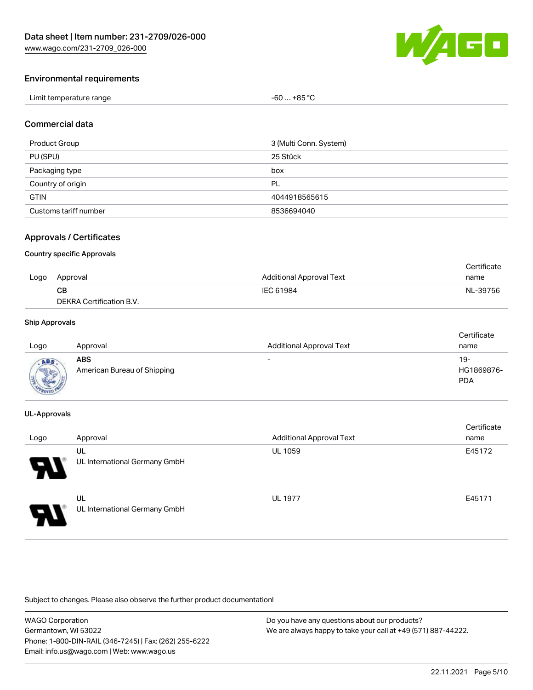

#### Environmental requirements

| Limit temperature range | $-60+85 °C$ |
|-------------------------|-------------|
|-------------------------|-------------|

#### Commercial data

| <b>Product Group</b>  | 3 (Multi Conn. System) |
|-----------------------|------------------------|
| PU (SPU)              | 25 Stück               |
| Packaging type        | box                    |
| Country of origin     | PL                     |
| <b>GTIN</b>           | 4044918565615          |
| Customs tariff number | 8536694040             |

### Approvals / Certificates

#### Country specific Approvals

|      |                          |                                 | Certificate |
|------|--------------------------|---------------------------------|-------------|
| Logo | Approval                 | <b>Additional Approval Text</b> | name        |
|      | CВ                       | IEC 61984                       | NL-39756    |
|      | DEKRA Certification B.V. |                                 |             |

#### Ship Approvals

| Logo | Approval                           | <b>Additional Approval Text</b> | Certificate<br>name             |
|------|------------------------------------|---------------------------------|---------------------------------|
|      | ABS<br>American Bureau of Shipping | $\overline{\phantom{0}}$        | 19-<br>HG1869876-<br><b>PDA</b> |

#### UL-Approvals

| Logo | Approval                            | <b>Additional Approval Text</b> | Certificate<br>name |
|------|-------------------------------------|---------------------------------|---------------------|
| 8    | UL<br>UL International Germany GmbH | <b>UL 1059</b>                  | E45172              |
| J    | UL<br>UL International Germany GmbH | <b>UL 1977</b>                  | E45171              |

Subject to changes. Please also observe the further product documentation!

WAGO Corporation Germantown, WI 53022 Phone: 1-800-DIN-RAIL (346-7245) | Fax: (262) 255-6222 Email: info.us@wago.com | Web: www.wago.us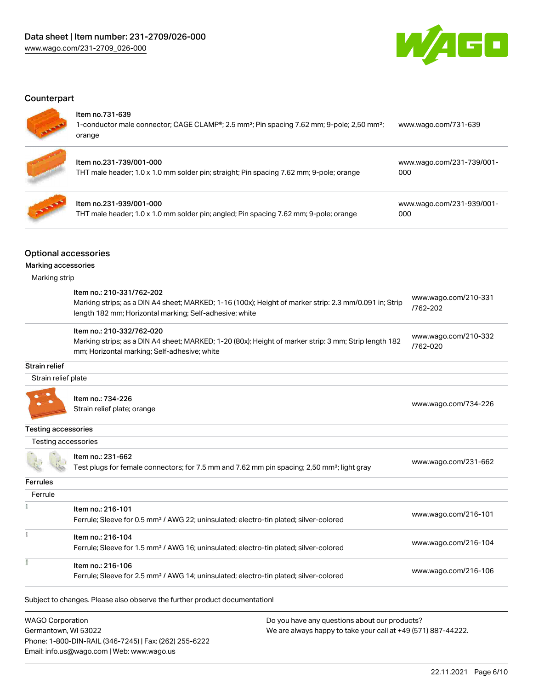

### **Counterpart**

#### Item no.731-639

| Item no.231-739/001-000                                                                                                      | www.wago.com/231-739/001- |
|------------------------------------------------------------------------------------------------------------------------------|---------------------------|
| 1-conductor male connector; CAGE CLAMP®; 2.5 mm <sup>2</sup> ; Pin spacing 7.62 mm; 9-pole; 2,50 mm <sup>2</sup> ;<br>orange | www.wago.com/731-639      |



| ltem no.231-739/001-000                                                                 | www.wago.com/ |
|-----------------------------------------------------------------------------------------|---------------|
| THT male header; 1.0 x 1.0 mm solder pin; straight; Pin spacing 7.62 mm; 9-pole; orange | 000           |

| ltem no.231-939/001-000<br>THT male header; 1.0 x 1.0 mm solder pin; angled; Pin spacing 7.62 mm; 9-pole; orange | www.wago.com/231-939/001-<br>000 |
|------------------------------------------------------------------------------------------------------------------|----------------------------------|

### Optional accessories

| Marking accessories |                                                                                                                                                                                                |                                  |
|---------------------|------------------------------------------------------------------------------------------------------------------------------------------------------------------------------------------------|----------------------------------|
| Marking strip       |                                                                                                                                                                                                |                                  |
|                     | Item no.: 210-331/762-202<br>Marking strips; as a DIN A4 sheet; MARKED; 1-16 (100x); Height of marker strip: 2.3 mm/0.091 in; Strip<br>length 182 mm; Horizontal marking; Self-adhesive; white | www.wago.com/210-331<br>/762-202 |
|                     | Item no.: 210-332/762-020<br>Marking strips; as a DIN A4 sheet; MARKED; 1-20 (80x); Height of marker strip: 3 mm; Strip length 182<br>mm; Horizontal marking; Self-adhesive; white             | www.wago.com/210-332<br>/762-020 |
| Strain relief       |                                                                                                                                                                                                |                                  |
| Strain relief plate |                                                                                                                                                                                                |                                  |
|                     | Item no.: 734-226<br>Strain relief plate; orange                                                                                                                                               | www.wago.com/734-226             |
| Testing accessories |                                                                                                                                                                                                |                                  |
| Testing accessories |                                                                                                                                                                                                |                                  |

|                 | Item no.: 231-662                                                                                       | www.wago.com/231-662 |  |
|-----------------|---------------------------------------------------------------------------------------------------------|----------------------|--|
|                 | Test plugs for female connectors; for 7.5 mm and 7.62 mm pin spacing; 2,50 mm <sup>2</sup> ; light gray |                      |  |
| <b>Ferrules</b> |                                                                                                         |                      |  |
| Ferrule         |                                                                                                         |                      |  |
|                 | Item no.: 216-101                                                                                       |                      |  |
|                 | Ferrule; Sleeve for 0.5 mm <sup>2</sup> / AWG 22; uninsulated; electro-tin plated; silver-colored       | www.wago.com/216-101 |  |
|                 | Item no.: 216-104                                                                                       |                      |  |
|                 | Ferrule; Sleeve for 1.5 mm <sup>2</sup> / AWG 16; uninsulated; electro-tin plated; silver-colored       | www.wago.com/216-104 |  |
|                 | Item no.: 216-106                                                                                       |                      |  |
|                 | Ferrule; Sleeve for 2.5 mm <sup>2</sup> / AWG 14; uninsulated; electro-tin plated; silver-colored       | www.wago.com/216-106 |  |

Subject to changes. Please also observe the further product documentation!

| <b>WAGO Corporation</b>                                |
|--------------------------------------------------------|
| Germantown, WI 53022                                   |
| Phone: 1-800-DIN-RAIL (346-7245)   Fax: (262) 255-6222 |
| Email: info.us@wago.com   Web: www.wago.us             |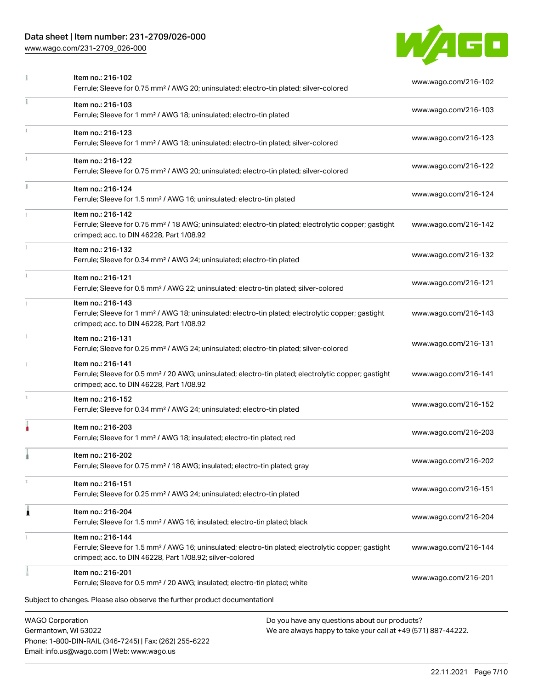# Data sheet | Item number: 231-2709/026-000

[www.wago.com/231-2709\\_026-000](http://www.wago.com/231-2709_026-000)

Email: info.us@wago.com | Web: www.wago.us



| Item no.: 216-102<br>Ferrule; Sleeve for 0.75 mm <sup>2</sup> / AWG 20; uninsulated; electro-tin plated; silver-colored                                                                           | www.wago.com/216-102                                          |
|---------------------------------------------------------------------------------------------------------------------------------------------------------------------------------------------------|---------------------------------------------------------------|
| Item no.: 216-103<br>Ferrule; Sleeve for 1 mm <sup>2</sup> / AWG 18; uninsulated; electro-tin plated                                                                                              | www.wago.com/216-103                                          |
| Item no.: 216-123<br>Ferrule; Sleeve for 1 mm <sup>2</sup> / AWG 18; uninsulated; electro-tin plated; silver-colored                                                                              | www.wago.com/216-123                                          |
| Item no.: 216-122<br>Ferrule; Sleeve for 0.75 mm <sup>2</sup> / AWG 20; uninsulated; electro-tin plated; silver-colored                                                                           | www.wago.com/216-122                                          |
| Item no.: 216-124<br>Ferrule; Sleeve for 1.5 mm <sup>2</sup> / AWG 16; uninsulated; electro-tin plated                                                                                            | www.wago.com/216-124                                          |
| Item no.: 216-142<br>Ferrule; Sleeve for 0.75 mm <sup>2</sup> / 18 AWG; uninsulated; electro-tin plated; electrolytic copper; gastight<br>crimped; acc. to DIN 46228, Part 1/08.92                | www.wago.com/216-142                                          |
| Item no.: 216-132<br>Ferrule; Sleeve for 0.34 mm <sup>2</sup> / AWG 24; uninsulated; electro-tin plated                                                                                           | www.wago.com/216-132                                          |
| Item no.: 216-121<br>Ferrule; Sleeve for 0.5 mm <sup>2</sup> / AWG 22; uninsulated; electro-tin plated; silver-colored                                                                            | www.wago.com/216-121                                          |
| Item no.: 216-143<br>Ferrule; Sleeve for 1 mm <sup>2</sup> / AWG 18; uninsulated; electro-tin plated; electrolytic copper; gastight<br>crimped; acc. to DIN 46228, Part 1/08.92                   | www.wago.com/216-143                                          |
| Item no.: 216-131<br>Ferrule; Sleeve for 0.25 mm <sup>2</sup> / AWG 24; uninsulated; electro-tin plated; silver-colored                                                                           | www.wago.com/216-131                                          |
| Item no.: 216-141<br>Ferrule; Sleeve for 0.5 mm <sup>2</sup> / 20 AWG; uninsulated; electro-tin plated; electrolytic copper; gastight<br>crimped; acc. to DIN 46228, Part 1/08.92                 | www.wago.com/216-141                                          |
| Item no.: 216-152<br>Ferrule; Sleeve for 0.34 mm <sup>2</sup> / AWG 24; uninsulated; electro-tin plated                                                                                           | www.wago.com/216-152                                          |
| Item no.: 216-203<br>Ferrule; Sleeve for 1 mm <sup>2</sup> / AWG 18; insulated; electro-tin plated; red                                                                                           | www.wago.com/216-203                                          |
| Item no.: 216-202<br>Ferrule; Sleeve for 0.75 mm <sup>2</sup> / 18 AWG; insulated; electro-tin plated; gray                                                                                       | www.wago.com/216-202                                          |
| Item no.: 216-151<br>Ferrule; Sleeve for 0.25 mm <sup>2</sup> / AWG 24; uninsulated; electro-tin plated                                                                                           | www.wago.com/216-151                                          |
| Item no.: 216-204<br>Ferrule; Sleeve for 1.5 mm <sup>2</sup> / AWG 16; insulated; electro-tin plated; black                                                                                       | www.wago.com/216-204                                          |
| Item no.: 216-144<br>Ferrule; Sleeve for 1.5 mm <sup>2</sup> / AWG 16; uninsulated; electro-tin plated; electrolytic copper; gastight<br>crimped; acc. to DIN 46228, Part 1/08.92; silver-colored | www.wago.com/216-144                                          |
| Item no.: 216-201<br>Ferrule; Sleeve for 0.5 mm <sup>2</sup> / 20 AWG; insulated; electro-tin plated; white                                                                                       | www.wago.com/216-201                                          |
| Subject to changes. Please also observe the further product documentation!                                                                                                                        |                                                               |
| <b>WAGO Corporation</b><br>Do you have any questions about our products?<br>Germantown, WI 53022<br>Phone: 1-800-DIN-RAIL (346-7245)   Fax: (262) 255-6222                                        | We are always happy to take your call at +49 (571) 887-44222. |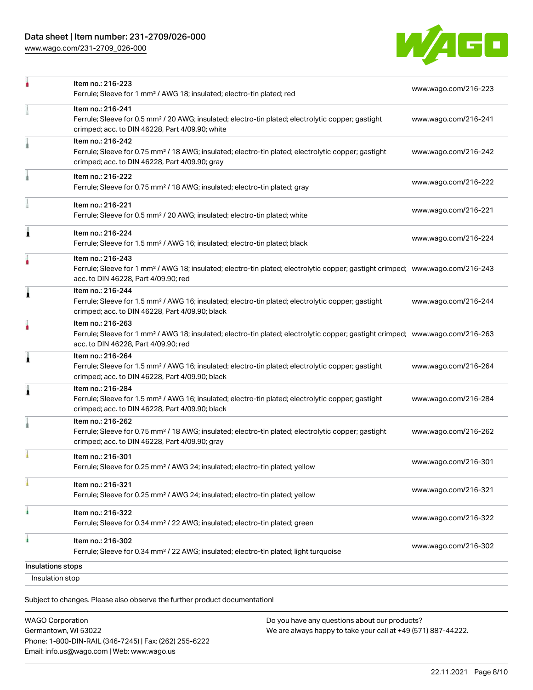[www.wago.com/231-2709\\_026-000](http://www.wago.com/231-2709_026-000)



| Insulation stop   |                                                                                                                                                                                                         |                      |
|-------------------|---------------------------------------------------------------------------------------------------------------------------------------------------------------------------------------------------------|----------------------|
| Insulations stops |                                                                                                                                                                                                         |                      |
| à                 | Item no.: 216-302<br>Ferrule; Sleeve for 0.34 mm <sup>2</sup> / 22 AWG; insulated; electro-tin plated; light turquoise                                                                                  | www.wago.com/216-302 |
|                   | Item no.: 216-322<br>Ferrule; Sleeve for 0.34 mm <sup>2</sup> / 22 AWG; insulated; electro-tin plated; green                                                                                            | www.wago.com/216-322 |
|                   | Item no.: 216-321<br>Ferrule; Sleeve for 0.25 mm <sup>2</sup> / AWG 24; insulated; electro-tin plated; yellow                                                                                           | www.wago.com/216-321 |
|                   | Item no.: 216-301<br>Ferrule; Sleeve for 0.25 mm <sup>2</sup> / AWG 24; insulated; electro-tin plated; yellow                                                                                           | www.wago.com/216-301 |
|                   | Item no.: 216-262<br>Ferrule; Sleeve for 0.75 mm <sup>2</sup> / 18 AWG; insulated; electro-tin plated; electrolytic copper; gastight<br>crimped; acc. to DIN 46228, Part 4/09.90; gray                  | www.wago.com/216-262 |
| 1                 | Item no.: 216-284<br>Ferrule; Sleeve for 1.5 mm <sup>2</sup> / AWG 16; insulated; electro-tin plated; electrolytic copper; gastight<br>crimped; acc. to DIN 46228, Part 4/09.90; black                  | www.wago.com/216-284 |
| 1                 | Item no.: 216-264<br>Ferrule; Sleeve for 1.5 mm <sup>2</sup> / AWG 16; insulated; electro-tin plated; electrolytic copper; gastight<br>crimped; acc. to DIN 46228, Part 4/09.90; black                  | www.wago.com/216-264 |
|                   | Item no.: 216-263<br>Ferrule; Sleeve for 1 mm <sup>2</sup> / AWG 18; insulated; electro-tin plated; electrolytic copper; gastight crimped; www.wago.com/216-263<br>acc. to DIN 46228, Part 4/09.90; red |                      |
| 1                 | Item no.: 216-244<br>Ferrule; Sleeve for 1.5 mm <sup>2</sup> / AWG 16; insulated; electro-tin plated; electrolytic copper; gastight<br>crimped; acc. to DIN 46228, Part 4/09.90; black                  | www.wago.com/216-244 |
|                   | Item no.: 216-243<br>Ferrule; Sleeve for 1 mm <sup>2</sup> / AWG 18; insulated; electro-tin plated; electrolytic copper; gastight crimped; www.wago.com/216-243<br>acc. to DIN 46228, Part 4/09.90; red |                      |
| Â                 | Item no.: 216-224<br>Ferrule; Sleeve for 1.5 mm <sup>2</sup> / AWG 16; insulated; electro-tin plated; black                                                                                             | www.wago.com/216-224 |
|                   | Item no.: 216-221<br>Ferrule; Sleeve for 0.5 mm <sup>2</sup> / 20 AWG; insulated; electro-tin plated; white                                                                                             | www.wago.com/216-221 |
|                   | Item no.: 216-222<br>Ferrule; Sleeve for 0.75 mm <sup>2</sup> / 18 AWG; insulated; electro-tin plated; gray                                                                                             | www.wago.com/216-222 |
|                   | Item no.: 216-242<br>Ferrule; Sleeve for 0.75 mm <sup>2</sup> / 18 AWG; insulated; electro-tin plated; electrolytic copper; gastight<br>crimped; acc. to DIN 46228, Part 4/09.90; gray                  | www.wago.com/216-242 |
|                   | Item no.: 216-241<br>Ferrule; Sleeve for 0.5 mm <sup>2</sup> / 20 AWG; insulated; electro-tin plated; electrolytic copper; gastight<br>crimped; acc. to DIN 46228, Part 4/09.90; white                  | www.wago.com/216-241 |
|                   | Item no.: 216-223<br>Ferrule; Sleeve for 1 mm <sup>2</sup> / AWG 18; insulated; electro-tin plated; red                                                                                                 | www.wago.com/216-223 |

Subject to changes. Please also observe the further product documentation!

| <b>WAGO Corporation</b>                                |
|--------------------------------------------------------|
| Germantown, WI 53022                                   |
| Phone: 1-800-DIN-RAIL (346-7245)   Fax: (262) 255-6222 |
| Email: info.us@wago.com   Web: www.wago.us             |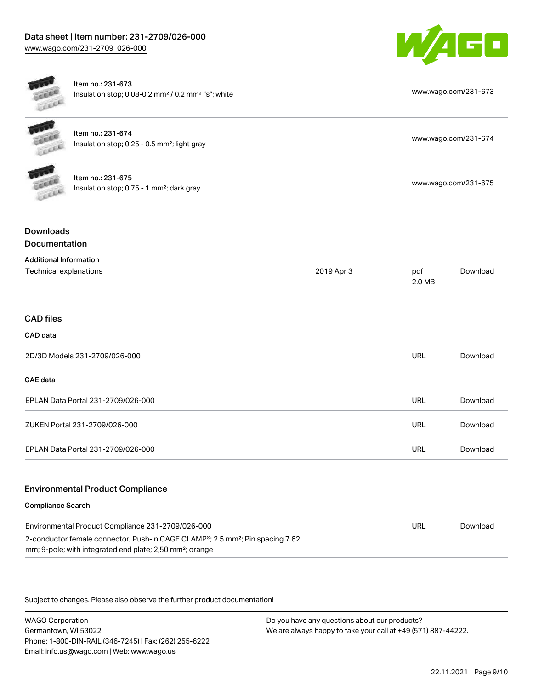

Item no.: 231-673 Insulation stop; 0.08-0.2 mm<sup>2</sup> / 0.2 mm<sup>2</sup> "s"; white [www.wago.com/231-673](http://www.wago.com/231-673)



Item no.: 231-674 Item ito... 231-074<br>Insulation stop; 0.25 - 0.5 mm²; light gray [www.wago.com/231-674](http://www.wago.com/231-674)



Item no.: 231-675 Insulation stop; 0.75 - 1 mm²; dark gray [www.wago.com/231-675](http://www.wago.com/231-675)<br>Insulation stop; 0.75 - 1 mm²; dark gray

# Downloads Documentation

| <b>Additional Information</b>      |            |               |          |
|------------------------------------|------------|---------------|----------|
| Technical explanations             | 2019 Apr 3 | pdf<br>2.0 MB | Download |
|                                    |            |               |          |
| <b>CAD files</b>                   |            |               |          |
| CAD data                           |            |               |          |
| 2D/3D Models 231-2709/026-000      |            | <b>URL</b>    | Download |
| CAE data                           |            |               |          |
| EPLAN Data Portal 231-2709/026-000 |            | URL           | Download |
| ZUKEN Portal 231-2709/026-000      |            | <b>URL</b>    | Download |
| EPLAN Data Portal 231-2709/026-000 |            | <b>URL</b>    | Download |
|                                    |            |               |          |

## Environmental Product Compliance

### Compliance Search

| Environmental Product Compliance 231-2709/026-000                                                                                                                              | URL | Download |
|--------------------------------------------------------------------------------------------------------------------------------------------------------------------------------|-----|----------|
| 2-conductor female connector; Push-in CAGE CLAMP <sup>®</sup> ; 2.5 mm <sup>2</sup> ; Pin spacing 7.62<br>mm; 9-pole; with integrated end plate; 2,50 mm <sup>2</sup> ; orange |     |          |

Subject to changes. Please also observe the further product documentation!

WAGO Corporation Germantown, WI 53022 Phone: 1-800-DIN-RAIL (346-7245) | Fax: (262) 255-6222 Email: info.us@wago.com | Web: www.wago.us